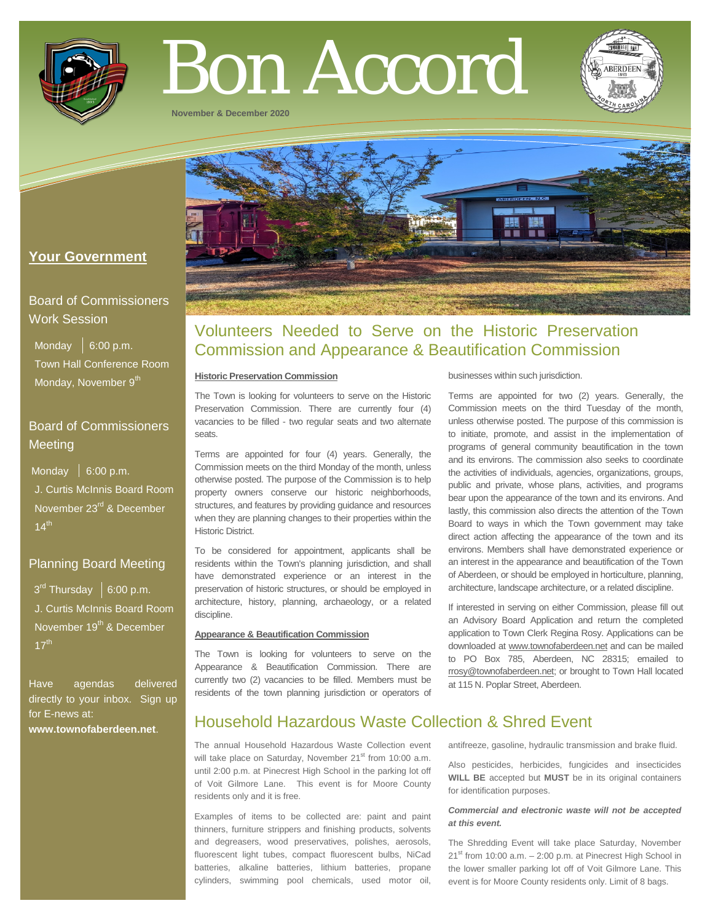

# Bon Accord

**November & December 2020**



## **Your Government**

## Board of Commissioners Work Session

Monday  $\vert$  6:00 p.m. Town Hall Conference Room Monday, November 9<sup>th</sup>

## Board of Commissioners Meeting

Monday  $\vert$  6:00 p.m. J. Curtis McInnis Board Room November 23<sup>rd</sup> & December  $14^{\text{th}}$ 

## Planning Board Meeting

 $3<sup>rd</sup>$  Thursday  $\mid 6:00$  p.m. J. Curtis McInnis Board Room November 19<sup>th</sup> & December  $17^{\text{th}}$ 

Have agendas delivered directly to your inbox. Sign up for E-news at: **[www.townofaberdeen.net](http://www.townofaberdeen.net/)**.

# Volunteers Needed to Serve on the Historic Preservation Commission and Appearance & Beautification Commission

#### **Historic Preservation Commission**

The Town is looking for volunteers to serve on the Historic Preservation Commission. There are currently four (4) vacancies to be filled - two regular seats and two alternate seats.

Terms are appointed for four (4) years. Generally, the Commission meets on the third Monday of the month, unless otherwise posted. The purpose of the Commission is to help property owners conserve our historic neighborhoods, structures, and features by providing guidance and resources when they are planning changes to their properties within the Historic District.

To be considered for appointment, applicants shall be residents within the Town's planning jurisdiction, and shall have demonstrated experience or an interest in the preservation of historic structures, or should be employed in architecture, history, planning, archaeology, or a related discipline.

#### **Appearance & Beautification Commission**

The Town is looking for volunteers to serve on the Appearance & Beautification Commission. There are currently two (2) vacancies to be filled. Members must be residents of the town planning jurisdiction or operators of

businesses within such jurisdiction.

Terms are appointed for two (2) years. Generally, the Commission meets on the third Tuesday of the month, unless otherwise posted. The purpose of this commission is to initiate, promote, and assist in the implementation of programs of general community beautification in the town and its environs. The commission also seeks to coordinate the activities of individuals, agencies, organizations, groups, public and private, whose plans, activities, and programs bear upon the appearance of the town and its environs. And lastly, this commission also directs the attention of the Town Board to ways in which the Town government may take direct action affecting the appearance of the town and its environs. Members shall have demonstrated experience or an interest in the appearance and beautification of the Town of Aberdeen, or should be employed in horticulture, planning, architecture, landscape architecture, or a related discipline.

If interested in serving on either Commission, please fill out an Advisory Board Application and return the completed application to Town Clerk Regina Rosy. Applications can be downloaded at [www.townofaberdeen.net](http://www.townofaberdeen.net/) and can be mailed to PO Box 785, Aberdeen, NC 28315; emailed to [rrosy@townofaberdeen.net;](mailto:rrosy@townofaberdeen.net) or brought to Town Hall located at 115 N. Poplar Street, Aberdeen.

# Household Hazardous Waste Collection & Shred Event

The annual Household Hazardous Waste Collection event will take place on Saturday, November 21<sup>st</sup> from 10:00 a.m. until 2:00 p.m. at Pinecrest High School in the parking lot off of Voit Gilmore Lane. This event is for Moore County residents only and it is free.

Examples of items to be collected are: paint and paint thinners, furniture strippers and finishing products, solvents and degreasers, wood preservatives, polishes, aerosols, fluorescent light tubes, compact fluorescent bulbs, NiCad batteries, alkaline batteries, lithium batteries, propane cylinders, swimming pool chemicals, used motor oil,

antifreeze, gasoline, hydraulic transmission and brake fluid.

Also pesticides, herbicides, fungicides and insecticides **WILL BE** accepted but **MUST** be in its original containers for identification purposes.

#### *Commercial and electronic waste will not be accepted at this event.*

The Shredding Event will take place Saturday, November  $21<sup>st</sup>$  from 10:00 a.m.  $- 2:00$  p.m. at Pinecrest High School in the lower smaller parking lot off of Voit Gilmore Lane. This event is for Moore County residents only. Limit of 8 bags.